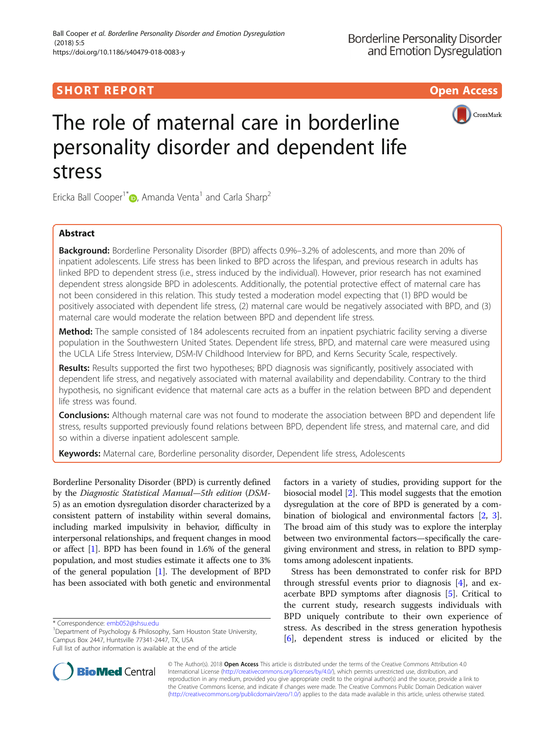## **SHORT REPORT CONSUMING THE CONSUMING THE CONSUMING THE CONSUMING THE CONSUMING THE CONSUMING THE CONSUMING THE CONSUMING THE CONSUMING THE CONSUMING THE CONSUMING THE CONSUMING THE CONSUMING THE CONSUMING THE CONSUMING TH**



# The role of maternal care in borderline personality disorder and dependent life stress

Ericka Ball Cooper<sup>1[\\*](http://orcid.org/0000-0001-8138-4015)</sup> <sub>(b</sub>), Amanda Venta<sup>1</sup> and Carla Sharp<sup>2</sup>

## Abstract

Background: Borderline Personality Disorder (BPD) affects 0.9%-3.2% of adolescents, and more than 20% of inpatient adolescents. Life stress has been linked to BPD across the lifespan, and previous research in adults has linked BPD to dependent stress (i.e., stress induced by the individual). However, prior research has not examined dependent stress alongside BPD in adolescents. Additionally, the potential protective effect of maternal care has not been considered in this relation. This study tested a moderation model expecting that (1) BPD would be positively associated with dependent life stress, (2) maternal care would be negatively associated with BPD, and (3) maternal care would moderate the relation between BPD and dependent life stress.

Method: The sample consisted of 184 adolescents recruited from an inpatient psychiatric facility serving a diverse population in the Southwestern United States. Dependent life stress, BPD, and maternal care were measured using the UCLA Life Stress Interview, DSM-IV Childhood Interview for BPD, and Kerns Security Scale, respectively.

Results: Results supported the first two hypotheses; BPD diagnosis was significantly, positively associated with dependent life stress, and negatively associated with maternal availability and dependability. Contrary to the third hypothesis, no significant evidence that maternal care acts as a buffer in the relation between BPD and dependent life stress was found.

**Conclusions:** Although maternal care was not found to moderate the association between BPD and dependent life stress, results supported previously found relations between BPD, dependent life stress, and maternal care, and did so within a diverse inpatient adolescent sample.

Keywords: Maternal care, Borderline personality disorder, Dependent life stress, Adolescents

Borderline Personality Disorder (BPD) is currently defined by the Diagnostic Statistical Manual—5th edition (DSM-5) as an emotion dysregulation disorder characterized by a consistent pattern of instability within several domains, including marked impulsivity in behavior, difficulty in interpersonal relationships, and frequent changes in mood or affect [\[1](#page-3-0)]. BPD has been found in 1.6% of the general population, and most studies estimate it affects one to 3% of the general population [[1](#page-3-0)]. The development of BPD has been associated with both genetic and environmental



Stress has been demonstrated to confer risk for BPD through stressful events prior to diagnosis [[4\]](#page-3-0), and exacerbate BPD symptoms after diagnosis [[5\]](#page-3-0). Critical to the current study, research suggests individuals with BPD uniquely contribute to their own experience of stress. As described in the stress generation hypothesis [[6\]](#page-3-0), dependent stress is induced or elicited by the



© The Author(s). 2018 Open Access This article is distributed under the terms of the Creative Commons Attribution 4.0 International License [\(http://creativecommons.org/licenses/by/4.0/](http://creativecommons.org/licenses/by/4.0/)), which permits unrestricted use, distribution, and reproduction in any medium, provided you give appropriate credit to the original author(s) and the source, provide a link to the Creative Commons license, and indicate if changes were made. The Creative Commons Public Domain Dedication waiver [\(http://creativecommons.org/publicdomain/zero/1.0/](http://creativecommons.org/publicdomain/zero/1.0/)) applies to the data made available in this article, unless otherwise stated.

<sup>\*</sup> Correspondence: [emb052@shsu.edu](mailto:emb052@shsu.edu) <sup>1</sup>

<sup>&</sup>lt;sup>1</sup>Department of Psychology & Philosophy, Sam Houston State University, Campus Box 2447, Huntsville 77341-2447, TX, USA

Full list of author information is available at the end of the article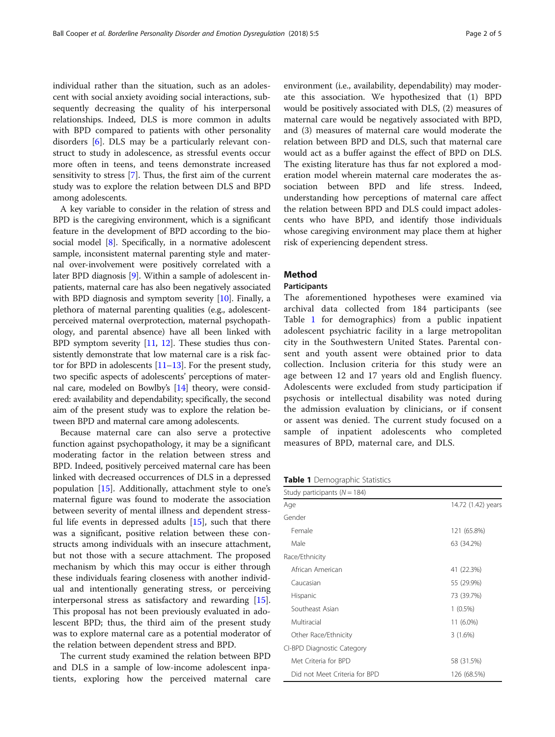individual rather than the situation, such as an adolescent with social anxiety avoiding social interactions, subsequently decreasing the quality of his interpersonal relationships. Indeed, DLS is more common in adults with BPD compared to patients with other personality disorders [[6\]](#page-3-0). DLS may be a particularly relevant construct to study in adolescence, as stressful events occur more often in teens, and teens demonstrate increased sensitivity to stress [\[7](#page-3-0)]. Thus, the first aim of the current study was to explore the relation between DLS and BPD among adolescents.

A key variable to consider in the relation of stress and BPD is the caregiving environment, which is a significant feature in the development of BPD according to the biosocial model [\[8](#page-3-0)]. Specifically, in a normative adolescent sample, inconsistent maternal parenting style and maternal over-involvement were positively correlated with a later BPD diagnosis [\[9](#page-3-0)]. Within a sample of adolescent inpatients, maternal care has also been negatively associated with BPD diagnosis and symptom severity [[10\]](#page-3-0). Finally, a plethora of maternal parenting qualities (e.g., adolescentperceived maternal overprotection, maternal psychopathology, and parental absence) have all been linked with BPD symptom severity  $[11, 12]$  $[11, 12]$  $[11, 12]$ . These studies thus consistently demonstrate that low maternal care is a risk factor for BPD in adolescents  $[11–13]$  $[11–13]$  $[11–13]$  $[11–13]$ . For the present study, two specific aspects of adolescents' perceptions of maternal care, modeled on Bowlby's [[14](#page-3-0)] theory, were considered: availability and dependability; specifically, the second aim of the present study was to explore the relation between BPD and maternal care among adolescents.

Because maternal care can also serve a protective function against psychopathology, it may be a significant moderating factor in the relation between stress and BPD. Indeed, positively perceived maternal care has been linked with decreased occurrences of DLS in a depressed population [\[15](#page-3-0)]. Additionally, attachment style to one's maternal figure was found to moderate the association between severity of mental illness and dependent stressful life events in depressed adults [[15\]](#page-3-0), such that there was a significant, positive relation between these constructs among individuals with an insecure attachment, but not those with a secure attachment. The proposed mechanism by which this may occur is either through these individuals fearing closeness with another individual and intentionally generating stress, or perceiving interpersonal stress as satisfactory and rewarding [\[15](#page-3-0)]. This proposal has not been previously evaluated in adolescent BPD; thus, the third aim of the present study was to explore maternal care as a potential moderator of the relation between dependent stress and BPD.

The current study examined the relation between BPD and DLS in a sample of low-income adolescent inpatients, exploring how the perceived maternal care environment (i.e., availability, dependability) may moderate this association. We hypothesized that (1) BPD would be positively associated with DLS, (2) measures of maternal care would be negatively associated with BPD, and (3) measures of maternal care would moderate the relation between BPD and DLS, such that maternal care would act as a buffer against the effect of BPD on DLS. The existing literature has thus far not explored a moderation model wherein maternal care moderates the association between BPD and life stress. Indeed, understanding how perceptions of maternal care affect the relation between BPD and DLS could impact adolescents who have BPD, and identify those individuals whose caregiving environment may place them at higher risk of experiencing dependent stress.

#### Method

#### Participants

The aforementioned hypotheses were examined via archival data collected from 184 participants (see Table 1 for demographics) from a public inpatient adolescent psychiatric facility in a large metropolitan city in the Southwestern United States. Parental consent and youth assent were obtained prior to data collection. Inclusion criteria for this study were an age between 12 and 17 years old and English fluency. Adolescents were excluded from study participation if psychosis or intellectual disability was noted during the admission evaluation by clinicians, or if consent or assent was denied. The current study focused on a sample of inpatient adolescents who completed measures of BPD, maternal care, and DLS.

**Table 1** Demographic Statistics

| Study participants ( $N = 184$ ) |                    |
|----------------------------------|--------------------|
| Age                              | 14.72 (1.42) years |
| Gender                           |                    |
| Female                           | 121 (65.8%)        |
| Male                             | 63 (34.2%)         |
| Race/Ethnicity                   |                    |
| African American                 | 41 (22.3%)         |
| Caucasian                        | 55 (29.9%)         |
| Hispanic                         | 73 (39.7%)         |
| Southeast Asian                  | $1(0.5\%)$         |
| Multiracial                      | 11 (6.0%)          |
| Other Race/Ethnicity             | 3(1.6%)            |
| CI-BPD Diagnostic Category       |                    |
| Met Criteria for BPD             | 58 (31.5%)         |
| Did not Meet Criteria for BPD    | 126 (68.5%)        |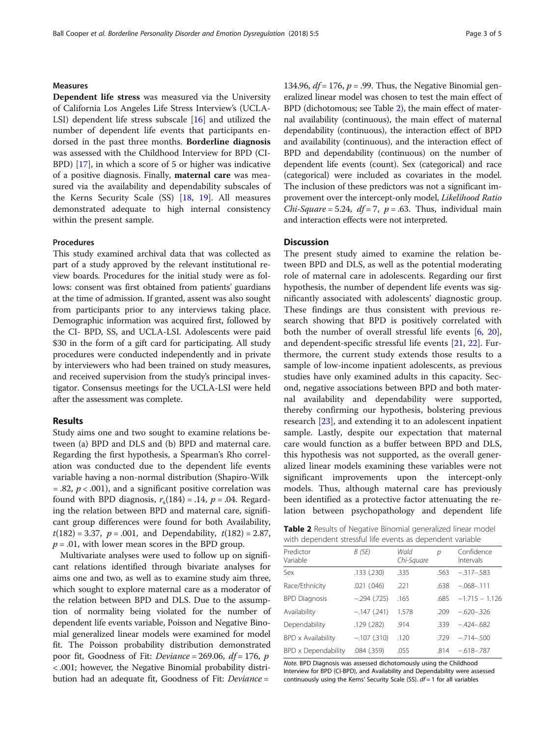#### Measures

Dependent life stress was measured via the University of California Los Angeles Life Stress Interview's (UCLA-LSI) dependent life stress subscale [[16\]](#page-3-0) and utilized the number of dependent life events that participants endorsed in the past three months. Borderline diagnosis was assessed with the Childhood Interview for BPD (CI-BPD) [[17](#page-3-0)], in which a score of 5 or higher was indicative of a positive diagnosis. Finally, maternal care was measured via the availability and dependability subscales of the Kerns Security Scale (SS) [[18,](#page-4-0) [19](#page-4-0)]. All measures demonstrated adequate to high internal consistency within the present sample.

#### Procedures

This study examined archival data that was collected as part of a study approved by the relevant institutional review boards. Procedures for the initial study were as follows: consent was first obtained from patients' guardians at the time of admission. If granted, assent was also sought from participants prior to any interviews taking place. Demographic information was acquired first, followed by the CI- BPD, SS, and UCLA-LSI. Adolescents were paid \$30 in the form of a gift card for participating. All study procedures were conducted independently and in private by interviewers who had been trained on study measures, and received supervision from the study's principal investigator. Consensus meetings for the UCLA-LSI were held after the assessment was complete.

## Results

Study aims one and two sought to examine relations between (a) BPD and DLS and (b) BPD and maternal care. Regarding the first hypothesis, a Spearman's Rho correlation was conducted due to the dependent life events variable having a non-normal distribution (Shapiro-Wilk  $= .82, p < .001$ ), and a significant positive correlation was found with BPD diagnosis,  $r_s(184) = .14$ ,  $p = .04$ . Regarding the relation between BPD and maternal care, significant group differences were found for both Availability,  $t(182) = 3.37$ ,  $p = .001$ , and Dependability,  $t(182) = 2.87$ ,  $p = .01$ , with lower mean scores in the BPD group.

Multivariate analyses were used to follow up on significant relations identified through bivariate analyses for aims one and two, as well as to examine study aim three, which sought to explore maternal care as a moderator of the relation between BPD and DLS. Due to the assumption of normality being violated for the number of dependent life events variable, Poisson and Negative Binomial generalized linear models were examined for model fit. The Poisson probability distribution demonstrated poor fit, Goodness of Fit: Deviance = 269.06,  $df = 176$ , p < .001; however, the Negative Binomial probability distribution had an adequate fit, Goodness of Fit: *Deviance* =

134.96,  $df = 176$ ,  $p = .99$ . Thus, the Negative Binomial generalized linear model was chosen to test the main effect of BPD (dichotomous; see Table 2), the main effect of maternal availability (continuous), the main effect of maternal dependability (continuous), the interaction effect of BPD and availability (continuous), and the interaction effect of BPD and dependability (continuous) on the number of dependent life events (count). Sex (categorical) and race (categorical) were included as covariates in the model. The inclusion of these predictors was not a significant improvement over the intercept-only model, Likelihood Ratio Chi-Square = 5.24,  $df = 7$ ,  $p = .63$ . Thus, individual main and interaction effects were not interpreted.

### **Discussion**

The present study aimed to examine the relation between BPD and DLS, as well as the potential moderating role of maternal care in adolescents. Regarding our first hypothesis, the number of dependent life events was significantly associated with adolescents' diagnostic group. These findings are thus consistent with previous research showing that BPD is positively correlated with both the number of overall stressful life events [\[6](#page-3-0), [20](#page-4-0)], and dependent-specific stressful life events [\[21](#page-4-0), [22\]](#page-4-0). Furthermore, the current study extends those results to a sample of low-income inpatient adolescents, as previous studies have only examined adults in this capacity. Second, negative associations between BPD and both maternal availability and dependability were supported, thereby confirming our hypothesis, bolstering previous research [[23\]](#page-4-0), and extending it to an adolescent inpatient sample. Lastly, despite our expectation that maternal care would function as a buffer between BPD and DLS, this hypothesis was not supported, as the overall generalized linear models examining these variables were not significant improvements upon the intercept-only models. Thus, although maternal care has previously been identified as a protective factor attenuating the relation between psychopathology and dependent life

Table 2 Results of Negative Binomial generalized linear model with dependent stressful life events as dependent variable

| Predictor<br>Variable      | B(SE)         | Wald<br>Chi-Square | р    | Confidence<br>Intervals |  |
|----------------------------|---------------|--------------------|------|-------------------------|--|
| Sex                        | .133 (.230)   | .335               | .563 | $-317-583$              |  |
| Race/Ethnicity             | .021(.046)    | .221               | .638 | $-.068-.111$            |  |
| <b>BPD Diagnosis</b>       | $-.294(.725)$ | .165               | .685 | $-1.715 - 1.126$        |  |
| Availability               | $-.147(.241)$ | 1.578              | .209 | $-620-326$              |  |
| Dependability              | .129 (.282)   | .914               | .339 | $-424-682$              |  |
| <b>BPD</b> x Availability  | $-.107(.310)$ | .120               | .729 | $-.714-.500$            |  |
| <b>BPD x Dependability</b> | .084 (.359)   | .055               | .814 | $-.618-.787$            |  |
|                            |               |                    |      |                         |  |

Note. BPD Diagnosis was assessed dichotomously using the Childhood Interview for BPD (CI-BPD), and Availability and Dependability were assessed continuously using the Kerns' Security Scale (SS).  $df = 1$  for all variables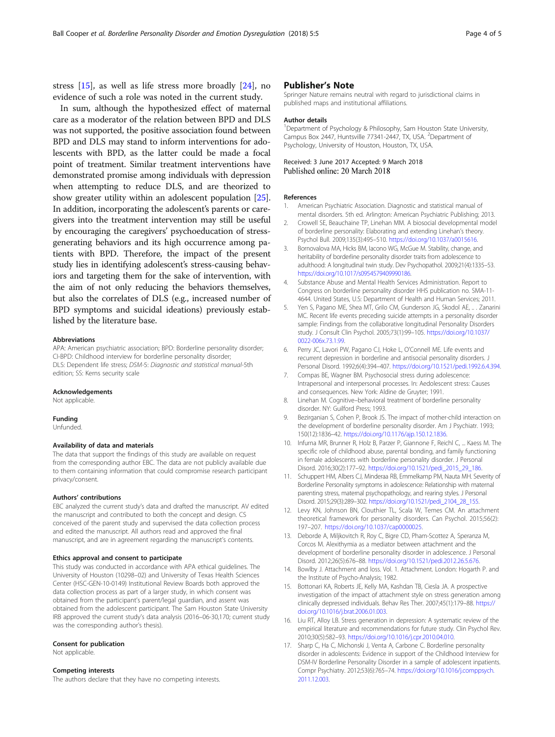<span id="page-3-0"></span>stress [15], as well as life stress more broadly [\[24](#page-4-0)], no evidence of such a role was noted in the current study.

In sum, although the hypothesized effect of maternal care as a moderator of the relation between BPD and DLS was not supported, the positive association found between BPD and DLS may stand to inform interventions for adolescents with BPD, as the latter could be made a focal point of treatment. Similar treatment interventions have demonstrated promise among individuals with depression when attempting to reduce DLS, and are theorized to show greater utility within an adolescent population [[25](#page-4-0)]. In addition, incorporating the adolescent's parents or caregivers into the treatment intervention may still be useful by encouraging the caregivers' psychoeducation of stressgenerating behaviors and its high occurrence among patients with BPD. Therefore, the impact of the present study lies in identifying adolescent's stress-causing behaviors and targeting them for the sake of intervention, with the aim of not only reducing the behaviors themselves, but also the correlates of DLS (e.g., increased number of BPD symptoms and suicidal ideations) previously established by the literature base.

#### Abbreviations

APA: American psychiatric association; BPD: Borderline personality disorder; CI-BPD: Childhood interview for borderline personality disorder; DLS: Dependent life stress; DSM-5: Diagnostic and statistical manual-5th edition; SS: Kerns security scale

#### Acknowledgements

Not applicable.

#### Funding

Unfunded.

#### Availability of data and materials

The data that support the findings of this study are available on request from the corresponding author EBC. The data are not publicly available due to them containing information that could compromise research participant privacy/consent.

#### Authors' contributions

EBC analyzed the current study's data and drafted the manuscript. AV edited the manuscript and contributed to both the concept and design. CS conceived of the parent study and supervised the data collection process and edited the manuscript. All authors read and approved the final manuscript, and are in agreement regarding the manuscript's contents.

#### Ethics approval and consent to participate

This study was conducted in accordance with APA ethical guidelines. The University of Houston (10298–02) and University of Texas Health Sciences Center (HSC-GEN-10-0149) Institutional Review Boards both approved the data collection process as part of a larger study, in which consent was obtained from the participant's parent/legal guardian, and assent was obtained from the adolescent participant. The Sam Houston State University IRB approved the current study's data analysis (2016–06-30,170; current study was the corresponding author's thesis).

#### Consent for publication

Not applicable.

#### Competing interests

The authors declare that they have no competing interests.

#### Publisher's Note

Springer Nature remains neutral with regard to jurisdictional claims in published maps and institutional affiliations.

#### Author details

<sup>1</sup>Department of Psychology & Philosophy, Sam Houston State University, Campus Box 2447, Huntsville 77341-2447, TX, USA. <sup>2</sup>Department of Psychology, University of Houston, Houston, TX, USA.

#### Received: 3 June 2017 Accepted: 9 March 2018 Published online: 20 March 2018

#### References

- 1. American Psychiatric Association. Diagnostic and statistical manual of mental disorders. 5th ed. Arlington: American Psychiatric Publishing; 2013.
- 2. Crowell SE, Beauchaine TP, Linehan MM. A biosocial developmental model of borderline personality: Elaborating and extending Linehan's theory. Psychol Bull. 2009;135(3):495–510. [https://doi.org/10.1037/a0015616.](https://doi.org/10.1037/a0015616)
- 3. Bornovalova MA, Hicks BM, Iacono WG, McGue M. Stability, change, and heritability of borderline personality disorder traits from adolescence to adulthood: A longitudinal twin study. Dev Psychopathol. 2009;21(4):1335–53. <https://doi.org/10.1017/s0954579409990186>.
- 4. Substance Abuse and Mental Health Services Administration. Report to Congress on borderline personality disorder HHS publication no. SMA-11- 4644. United States, U.S: Department of Health and Human Services; 2011.
- 5. Yen S, Pagano ME, Shea MT, Grilo CM, Gunderson JG, Skodol AE, .. . Zanarini MC. Recent life events preceding suicide attempts in a personality disorder sample: Findings from the collaborative longitudinal Personality Disorders study. J Consult Clin Psychol. 2005;73(1):99–105. [https://doi.org/10.1037/](https://doi.org/10.1037/0022-006x.73.1.99) [0022-006x.73.1.99](https://doi.org/10.1037/0022-006x.73.1.99).
- 6. Perry JC, Lavori PW, Pagano CJ, Hoke L, O'Connell ME. Life events and recurrent depression in borderline and antisocial personality disorders. J Personal Disord. 1992;6(4):394–407. [https://doi.org/10.1521/pedi.1992.6.4.394.](https://doi.org/10.1521/pedi.1992.6.4.394)
- 7. Compas BE, Wagner BM. Psychosocial stress during adolescence: Intrapersonal and interpersonal processes. In: Aedolescent stress: Causes and consequences. New York: Aldine de Gruyter; 1991.
- 8. Linehan M. Cognitive–behavioral treatment of borderline personality disorder. NY: Guilford Press; 1993.
- Bezirganian S, Cohen P, Brook JS. The impact of mother-child interaction on the development of borderline personality disorder. Am J Psychiatr. 1993; 150(12):1836–42. <https://doi.org/10.1176/ajp.150.12.1836>.
- 10. Infurna MR, Brunner R, Holz B, Parzer P, Giannone F, Reichl C, ... Kaess M. The specific role of childhood abuse, parental bonding, and family functioning in female adolescents with borderline personality disorder. J Personal Disord. 2016;30(2):177–92. [https://doi.org/10.1521/pedi\\_2015\\_29\\_186.](https://doi.org/10.1521/pedi_2015_29_186)
- 11. Schuppert HM, Albers CJ, Minderaa RB, Emmelkamp PM, Nauta MH. Severity of Borderline Personality symptoms in adolescence: Relationship with maternal parenting stress, maternal psychopathology, and rearing styles. J Personal Disord. 2015;29(3):289–302. [https://doi.org/10.1521/pedi\\_2104\\_28\\_155.](https://doi.org/10.1521/pedi_2104_28_155)
- 12. Levy KN, Johnson BN, Clouthier TL, Scala W, Temes CM. An attachment theoretical framework for personality disorders. Can Psychol. 2015;56(2): 197–207. [https://doi.org/10.1037/cap0000025.](https://doi.org/10.1037/cap0000025)
- 13. Deborde A, Miljkovitch R, Roy C, Bigre CD, Pham-Scottez A, Speranza M, Corcos M. Alexithymia as a mediator between attachment and the development of borderline personality disorder in adolescence. J Personal Disord. 2012;26(5):676–88. <https://doi.org/10.1521/pedi.2012.26.5.676>.
- 14. Bowlby J. Attachment and loss. Vol. 1. Attachment. London: Hogarth P. and the Institute of Psycho-Analysis; 1982.
- 15. Bottonari KA, Roberts JE, Kelly MA, Kashdan TB, Ciesla JA. A prospective investigation of the impact of attachment style on stress generation among clinically depressed individuals. Behav Res Ther. 2007;45(1):179–88. [https://](https://doi.org/10.1016/j.brat.2006.01.003) [doi.org/10.1016/j.brat.2006.01.003.](https://doi.org/10.1016/j.brat.2006.01.003)
- 16. Liu RT, Alloy LB. Stress generation in depression: A systematic review of the empirical literature and recommendations for future study. Clin Psychol Rev. 2010;30(5):582–93. [https://doi.org/10.1016/j.cpr.2010.04.010.](https://doi.org/10.1016/j.cpr.2010.04.010)
- 17. Sharp C, Ha C, Michonski J, Venta A, Carbone C. Borderline personality disorder in adolescents: Evidence in support of the Childhood Interview for DSM-IV Borderline Personality Disorder in a sample of adolescent inpatients. Compr Psychiatry. 2012;53(6):765–74. [https://doi.org/10.1016/j.comppsych.](https://doi.org/10.1016/j.comppsych.2011.12.003) [2011.12.003.](https://doi.org/10.1016/j.comppsych.2011.12.003)